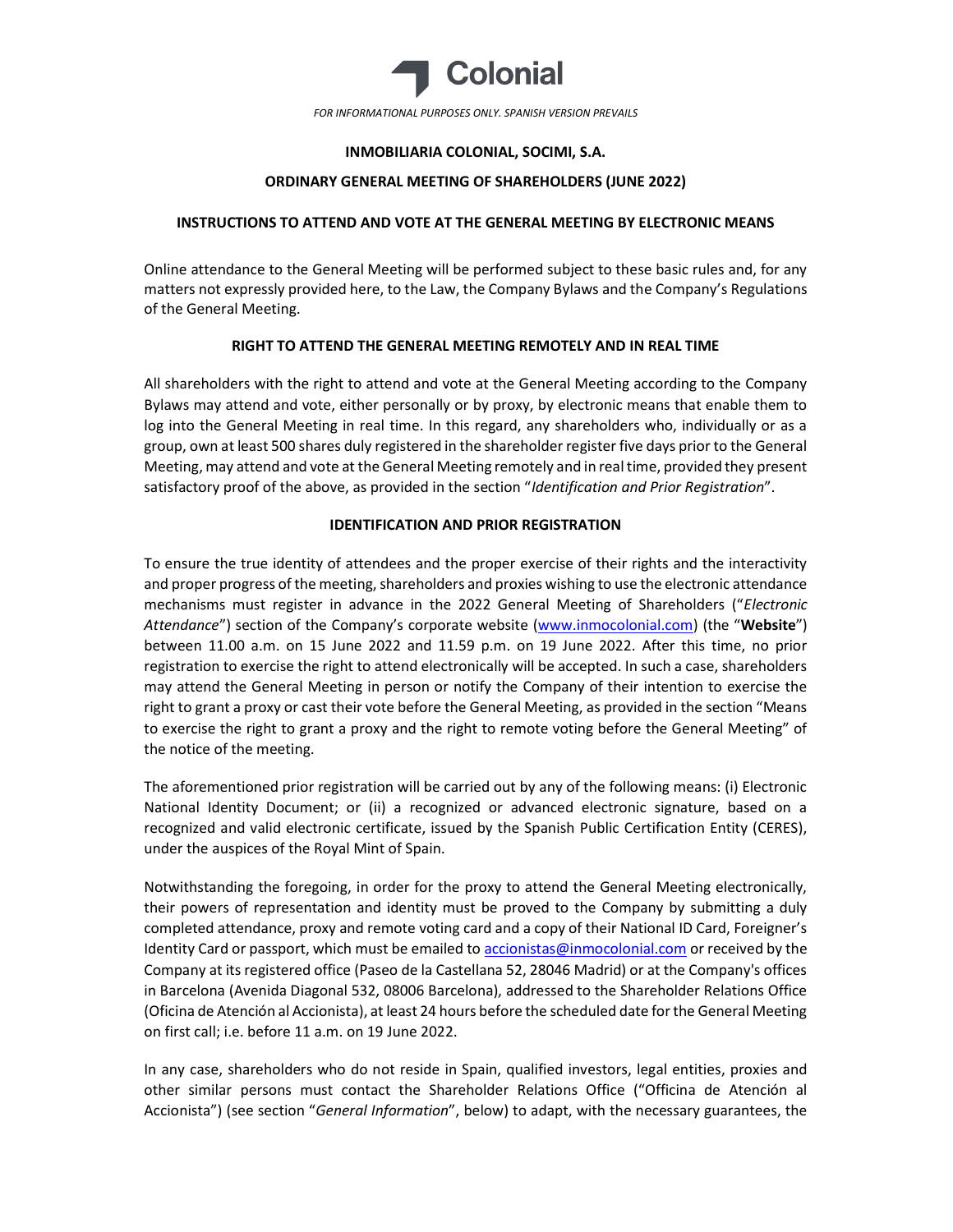

## INMOBILIARIA COLONIAL, SOCIMI, S.A.

### ORDINARY GENERAL MEETING OF SHAREHOLDERS (JUNE 2022)

## INSTRUCTIONS TO ATTEND AND VOTE AT THE GENERAL MEETING BY ELECTRONIC MEANS

Online attendance to the General Meeting will be performed subject to these basic rules and, for any matters not expressly provided here, to the Law, the Company Bylaws and the Company's Regulations of the General Meeting.

### RIGHT TO ATTEND THE GENERAL MEETING REMOTELY AND IN REAL TIME

All shareholders with the right to attend and vote at the General Meeting according to the Company Bylaws may attend and vote, either personally or by proxy, by electronic means that enable them to log into the General Meeting in real time. In this regard, any shareholders who, individually or as a group, own at least 500 shares duly registered in the shareholder register five days prior to the General Meeting, may attend and vote at the General Meeting remotely and in real time, provided they present satisfactory proof of the above, as provided in the section "Identification and Prior Registration".

## IDENTIFICATION AND PRIOR REGISTRATION

To ensure the true identity of attendees and the proper exercise of their rights and the interactivity and proper progress of the meeting, shareholders and proxies wishing to use the electronic attendance mechanisms must register in advance in the 2022 General Meeting of Shareholders ("Electronic Attendance") section of the Company's corporate website (www.inmocolonial.com) (the "Website") between 11.00 a.m. on 15 June 2022 and 11.59 p.m. on 19 June 2022. After this time, no prior registration to exercise the right to attend electronically will be accepted. In such a case, shareholders may attend the General Meeting in person or notify the Company of their intention to exercise the right to grant a proxy or cast their vote before the General Meeting, as provided in the section "Means to exercise the right to grant a proxy and the right to remote voting before the General Meeting" of the notice of the meeting.

The aforementioned prior registration will be carried out by any of the following means: (i) Electronic National Identity Document; or (ii) a recognized or advanced electronic signature, based on a recognized and valid electronic certificate, issued by the Spanish Public Certification Entity (CERES), under the auspices of the Royal Mint of Spain.

Notwithstanding the foregoing, in order for the proxy to attend the General Meeting electronically, their powers of representation and identity must be proved to the Company by submitting a duly completed attendance, proxy and remote voting card and a copy of their National ID Card, Foreigner's Identity Card or passport, which must be emailed to accionistas@inmocolonial.com or received by the Company at its registered office (Paseo de la Castellana 52, 28046 Madrid) or at the Company's offices in Barcelona (Avenida Diagonal 532, 08006 Barcelona), addressed to the Shareholder Relations Office (Oficina de Atención al Accionista), at least 24 hours before the scheduled date for the General Meeting on first call; i.e. before 11 a.m. on 19 June 2022.

In any case, shareholders who do not reside in Spain, qualified investors, legal entities, proxies and other similar persons must contact the Shareholder Relations Office ("Officina de Atención al Accionista") (see section "General Information", below) to adapt, with the necessary guarantees, the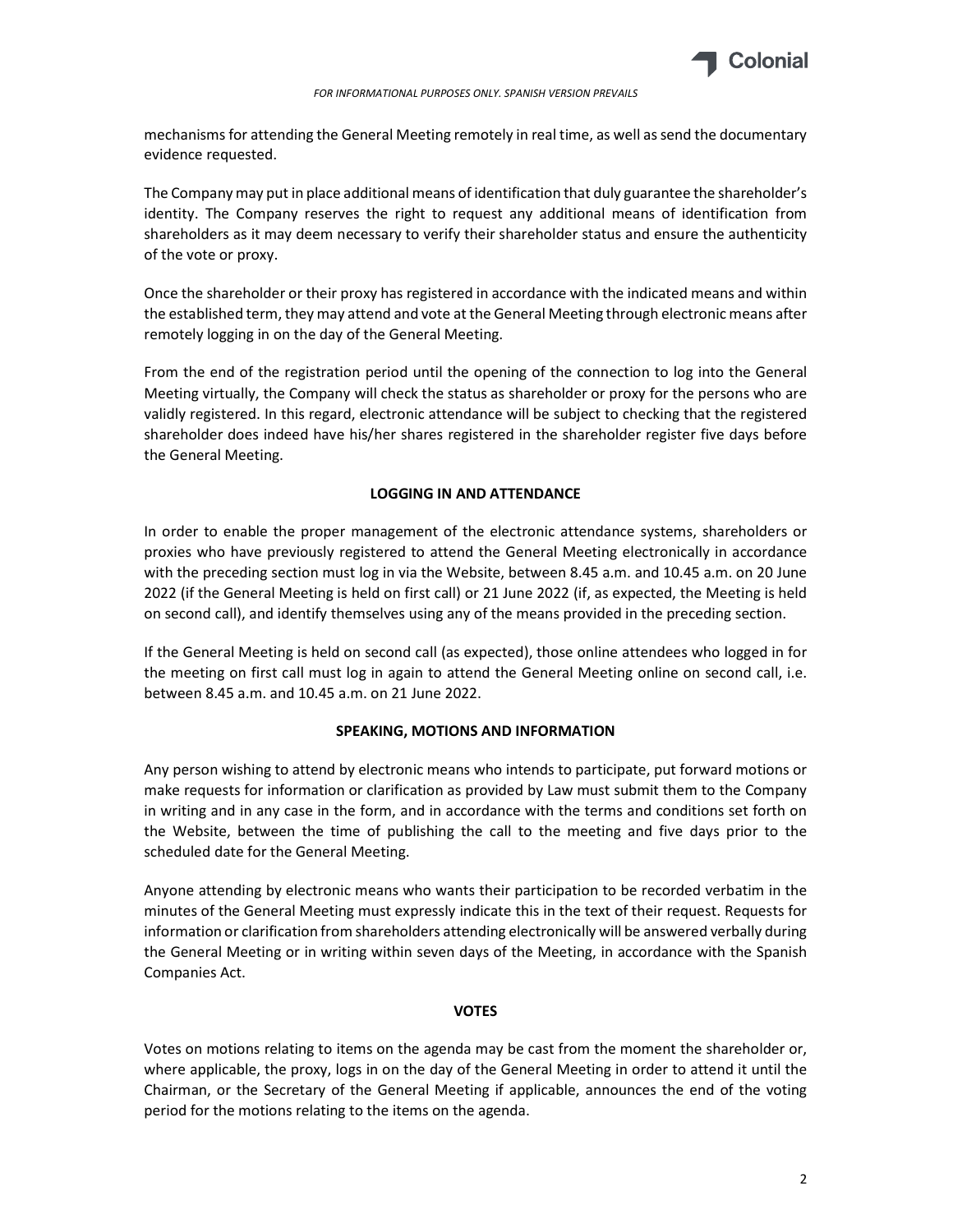

mechanisms for attending the General Meeting remotely in real time, as well as send the documentary evidence requested.

The Company may put in place additional means of identification that duly guarantee the shareholder's identity. The Company reserves the right to request any additional means of identification from shareholders as it may deem necessary to verify their shareholder status and ensure the authenticity of the vote or proxy.

Once the shareholder or their proxy has registered in accordance with the indicated means and within the established term, they may attend and vote at the General Meeting through electronic means after remotely logging in on the day of the General Meeting.

From the end of the registration period until the opening of the connection to log into the General Meeting virtually, the Company will check the status as shareholder or proxy for the persons who are validly registered. In this regard, electronic attendance will be subject to checking that the registered shareholder does indeed have his/her shares registered in the shareholder register five days before the General Meeting.

# LOGGING IN AND ATTENDANCE

In order to enable the proper management of the electronic attendance systems, shareholders or proxies who have previously registered to attend the General Meeting electronically in accordance with the preceding section must log in via the Website, between 8.45 a.m. and 10.45 a.m. on 20 June 2022 (if the General Meeting is held on first call) or 21 June 2022 (if, as expected, the Meeting is held on second call), and identify themselves using any of the means provided in the preceding section.

If the General Meeting is held on second call (as expected), those online attendees who logged in for the meeting on first call must log in again to attend the General Meeting online on second call, i.e. between 8.45 a.m. and 10.45 a.m. on 21 June 2022.

#### SPEAKING, MOTIONS AND INFORMATION

Any person wishing to attend by electronic means who intends to participate, put forward motions or make requests for information or clarification as provided by Law must submit them to the Company in writing and in any case in the form, and in accordance with the terms and conditions set forth on the Website, between the time of publishing the call to the meeting and five days prior to the scheduled date for the General Meeting.

Anyone attending by electronic means who wants their participation to be recorded verbatim in the minutes of the General Meeting must expressly indicate this in the text of their request. Requests for information or clarification from shareholders attending electronically will be answered verbally during the General Meeting or in writing within seven days of the Meeting, in accordance with the Spanish Companies Act.

#### VOTES

Votes on motions relating to items on the agenda may be cast from the moment the shareholder or, where applicable, the proxy, logs in on the day of the General Meeting in order to attend it until the Chairman, or the Secretary of the General Meeting if applicable, announces the end of the voting period for the motions relating to the items on the agenda.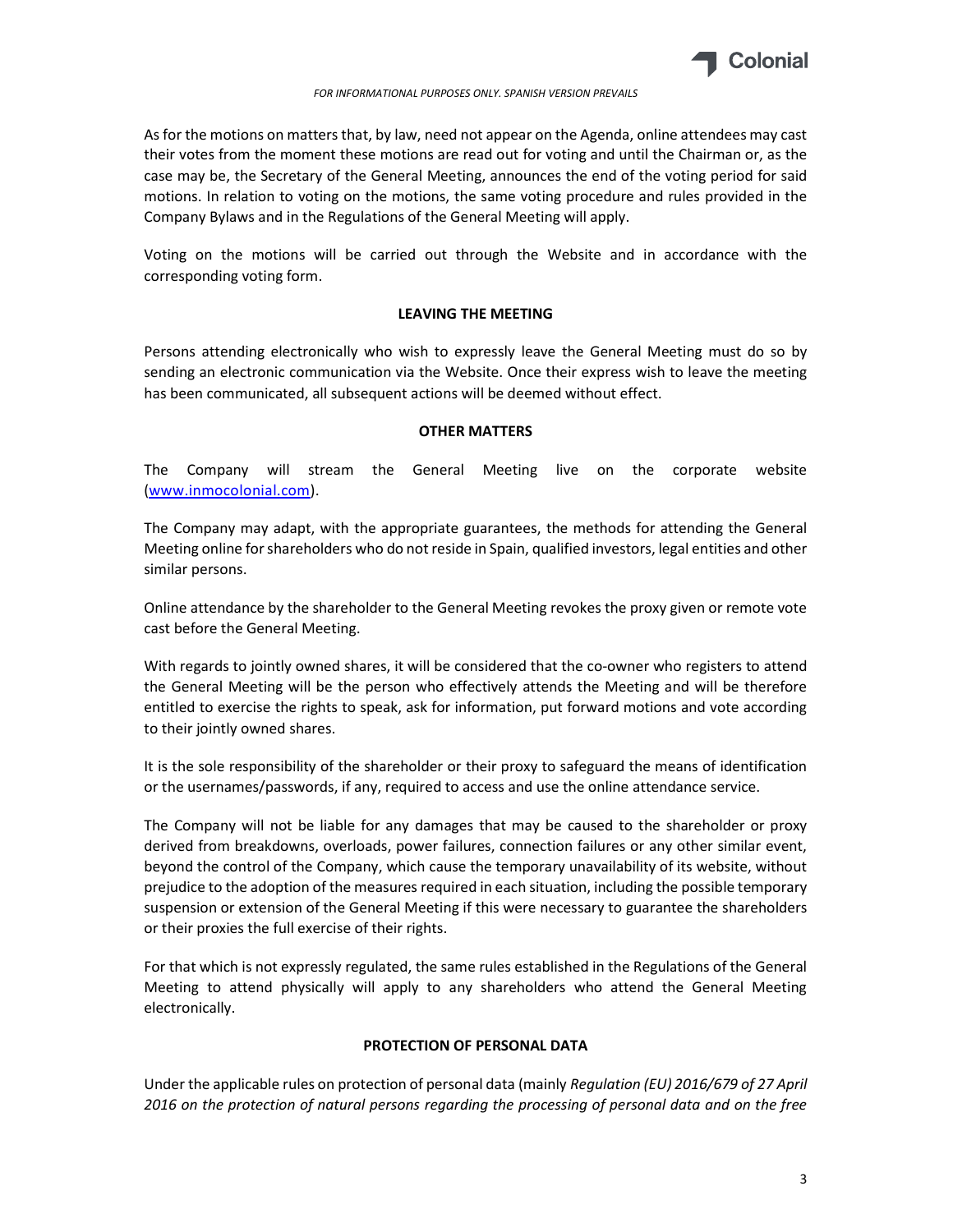

As for the motions on matters that, by law, need not appear on the Agenda, online attendees may cast their votes from the moment these motions are read out for voting and until the Chairman or, as the case may be, the Secretary of the General Meeting, announces the end of the voting period for said motions. In relation to voting on the motions, the same voting procedure and rules provided in the Company Bylaws and in the Regulations of the General Meeting will apply.

Voting on the motions will be carried out through the Website and in accordance with the corresponding voting form.

### LEAVING THE MEETING

Persons attending electronically who wish to expressly leave the General Meeting must do so by sending an electronic communication via the Website. Once their express wish to leave the meeting has been communicated, all subsequent actions will be deemed without effect.

#### OTHER MATTERS

The Company will stream the General Meeting live on the corporate website (www.inmocolonial.com).

The Company may adapt, with the appropriate guarantees, the methods for attending the General Meeting online for shareholders who do not reside in Spain, qualified investors, legal entities and other similar persons.

Online attendance by the shareholder to the General Meeting revokes the proxy given or remote vote cast before the General Meeting.

With regards to jointly owned shares, it will be considered that the co-owner who registers to attend the General Meeting will be the person who effectively attends the Meeting and will be therefore entitled to exercise the rights to speak, ask for information, put forward motions and vote according to their jointly owned shares.

It is the sole responsibility of the shareholder or their proxy to safeguard the means of identification or the usernames/passwords, if any, required to access and use the online attendance service.

The Company will not be liable for any damages that may be caused to the shareholder or proxy derived from breakdowns, overloads, power failures, connection failures or any other similar event, beyond the control of the Company, which cause the temporary unavailability of its website, without prejudice to the adoption of the measures required in each situation, including the possible temporary suspension or extension of the General Meeting if this were necessary to guarantee the shareholders or their proxies the full exercise of their rights.

For that which is not expressly regulated, the same rules established in the Regulations of the General Meeting to attend physically will apply to any shareholders who attend the General Meeting electronically.

# PROTECTION OF PERSONAL DATA

Under the applicable rules on protection of personal data (mainly Regulation (EU) 2016/679 of 27 April 2016 on the protection of natural persons regarding the processing of personal data and on the free